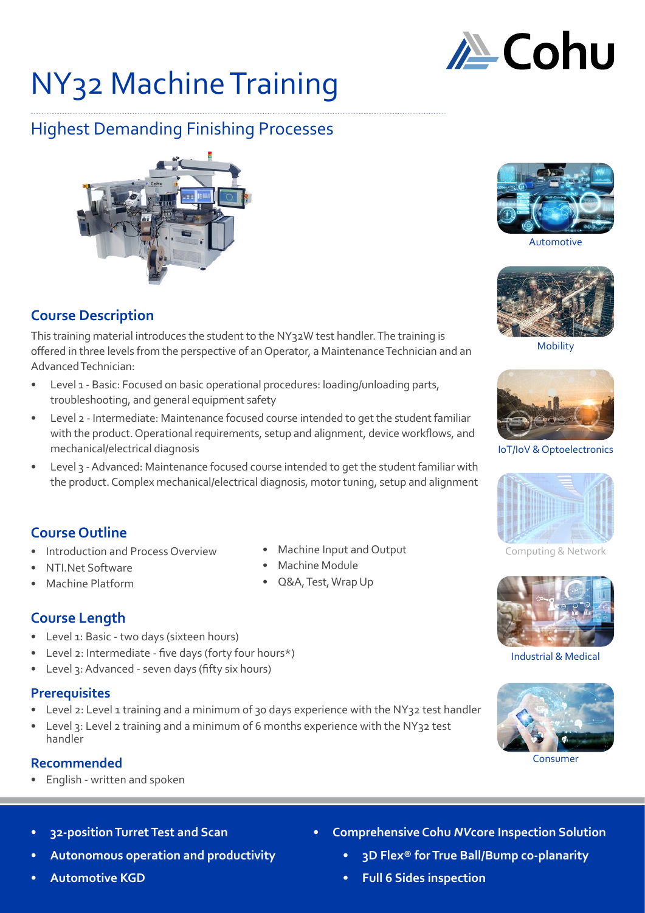

# NY32 Machine Training

# Highest Demanding Finishing Processes



# **Course Description**

This training material introduces the student to the NY32W test handler. The training is offered in three levels from the perspective of an Operator, a Maintenance Technician and an Advanced Technician:

- Level 1 Basic: Focused on basic operational procedures: loading/unloading parts, troubleshooting, and general equipment safety
- Level 2 Intermediate: Maintenance focused course intended to get the student familiar with the product. Operational requirements, setup and alignment, device workflows, and mechanical/electrical diagnosis
- Level 3 Advanced: Maintenance focused course intended to get the student familiar with the product. Complex mechanical/electrical diagnosis, motor tuning, setup and alignment

# **Course Outline**

- Introduction and Process Overview
- NTI.Net Software
- Machine Platform

# **Course Length**

- Level 1: Basic two days (sixteen hours)
- Level 2: Intermediate five days (forty four hours\*)
- Level 3: Advanced seven days (fifty six hours)

# **Prerequisites**

- Level 2: Level 1 training and a minimum of 30 days experience with the NY32 test handler
- Level 3: Level 2 training and a minimum of 6 months experience with the NY32 test handler

# **Recommended**

- English written and spoken
	- **• 32-position Turret Test and Scan**
- **• Autonomous operation and productivity**
- **• Automotive KGD**
- Machine Input and Output
- Machine Module
- Q&A, Test, Wrap Up



Automotive



Mobility



IoT/IoV & Optoelectronics



Computing & Network



Industrial & Medical



Consumer

- **• Comprehensive Cohu** *NV***core Inspection Solution**
	- **• 3D Flex® for True Ball/Bump co-planarity**
	- **• Full 6 Sides inspection**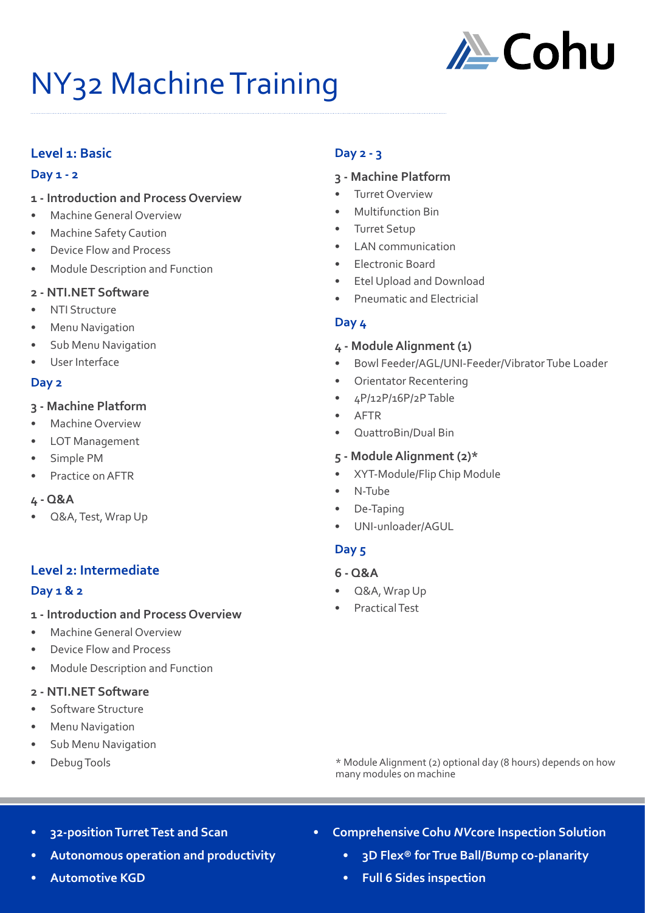

# NY32 Machine Training

## **Level 1: Basic**

#### **Day 1 - 2**

- **1 Introduction and Process Overview**
- Machine General Overview
- Machine Safety Caution
- Device Flow and Process
- Module Description and Function

#### **2 - NTI.NET Software**

- NTI Structure
- **Menu Navigation**
- Sub Menu Navigation
- User Interface

#### **Day 2**

#### **3 - Machine Platform**

- Machine Overview
- LOT Management
- Simple PM
- Practice on AFTR
- **4 Q&A**
- Q&A, Test, Wrap Up

### **Level 2: Intermediate**

#### **Day 1 & 2**

- **1 Introduction and Process Overview**
- Machine General Overview
- Device Flow and Process
- Module Description and Function

#### **2 - NTI.NET Software**

- Software Structure
- Menu Navigation
- Sub Menu Navigation
- Debug Tools

#### **Day 2 - 3**

#### **3 - Machine Platform**

- **Turret Overview**
- Multifunction Bin
- Turret Setup
- LAN communication
- Electronic Board
- Etel Upload and Download
- Pneumatic and Electricial

#### **Day 4**

#### **4 - Module Alignment (1)**

- Bowl Feeder/AGL/UNI-Feeder/Vibrator Tube Loader
- Orientator Recentering
- 4P/12P/16P/2P Table
- AFTR
- QuattroBin/Dual Bin

#### **5 - Module Alignment (2)\***

- XYT-Module/Flip Chip Module
- N-Tube
- De-Taping
- UNI-unloader/AGUL

### **Day 5**

- **6 Q&A**
- Q&A, Wrap Up
- Practical Test

\* Module Alignment (2) optional day (8 hours) depends on how many modules on machine

- **• 32-position Turret Test and Scan**
- **• Autonomous operation and productivity**
- **• Automotive KGD**
- **• Comprehensive Cohu** *NV***core Inspection Solution**
	- **• 3D Flex® for True Ball/Bump co-planarity**
	- **• Full 6 Sides inspection**